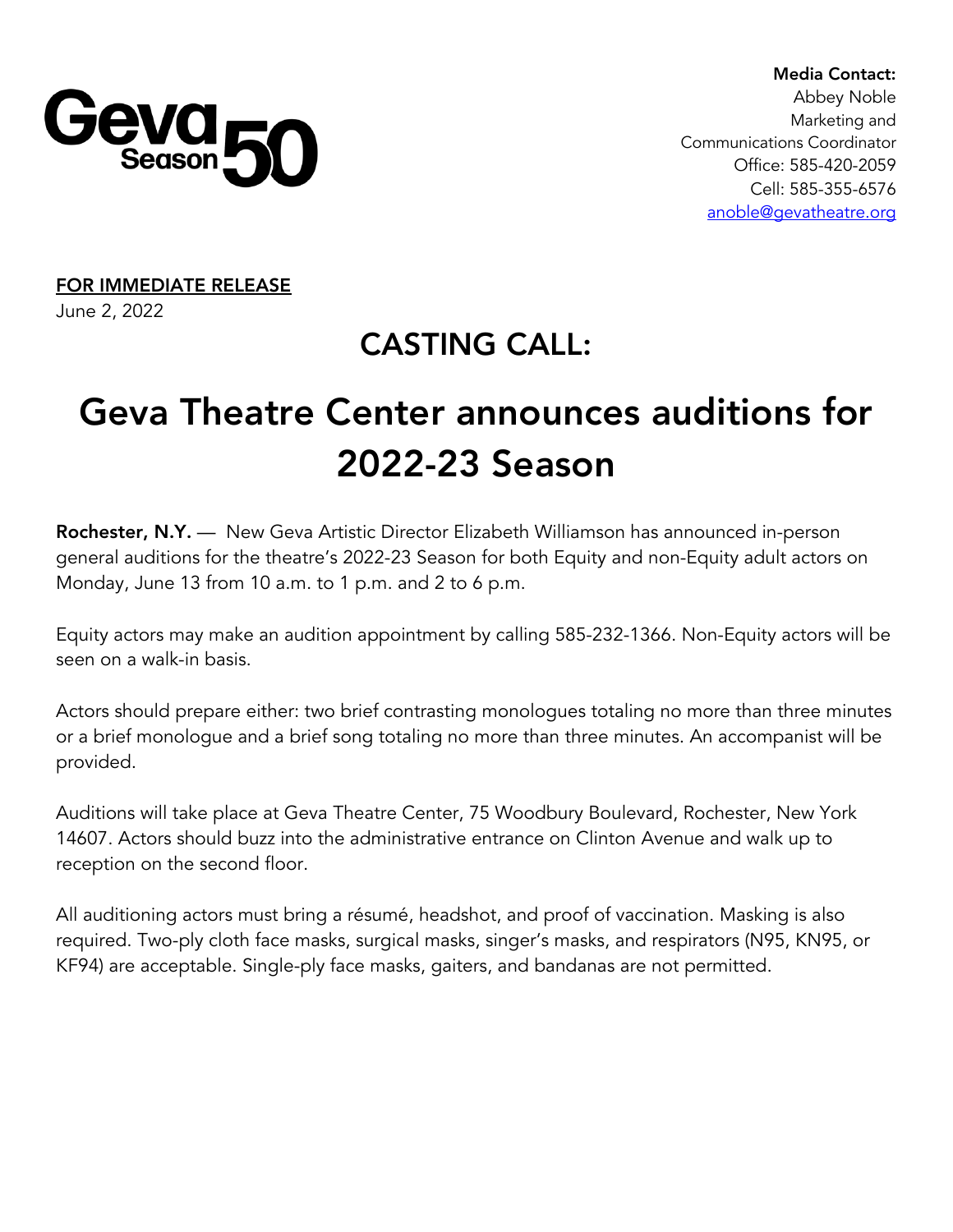

 Media Contact: Abbey Noble Marketing and Communications Coordinator Office: 585-420-2059 Cell: 585-355-6576 anoble@gevatheatre.org

FOR IMMEDIATE RELEASE June 2, 2022

# CASTING CALL:

# Geva Theatre Center announces auditions for 2022-23 Season

Rochester, N.Y. — New Geva Artistic Director Elizabeth Williamson has announced in-person general auditions for the theatre's 2022-23 Season for both Equity and non-Equity adult actors on Monday, June 13 from 10 a.m. to 1 p.m. and 2 to 6 p.m.

Equity actors may make an audition appointment by calling 585-232-1366. Non-Equity actors will be seen on a walk-in basis.

Actors should prepare either: two brief contrasting monologues totaling no more than three minutes or a brief monologue and a brief song totaling no more than three minutes. An accompanist will be provided.

Auditions will take place at Geva Theatre Center, 75 Woodbury Boulevard, Rochester, New York 14607. Actors should buzz into the administrative entrance on Clinton Avenue and walk up to reception on the second floor.

All auditioning actors must bring a résumé, headshot, and proof of vaccination. Masking is also required. Two-ply cloth face masks, surgical masks, singer's masks, and respirators (N95, KN95, or KF94) are acceptable. Single-ply face masks, gaiters, and bandanas are not permitted.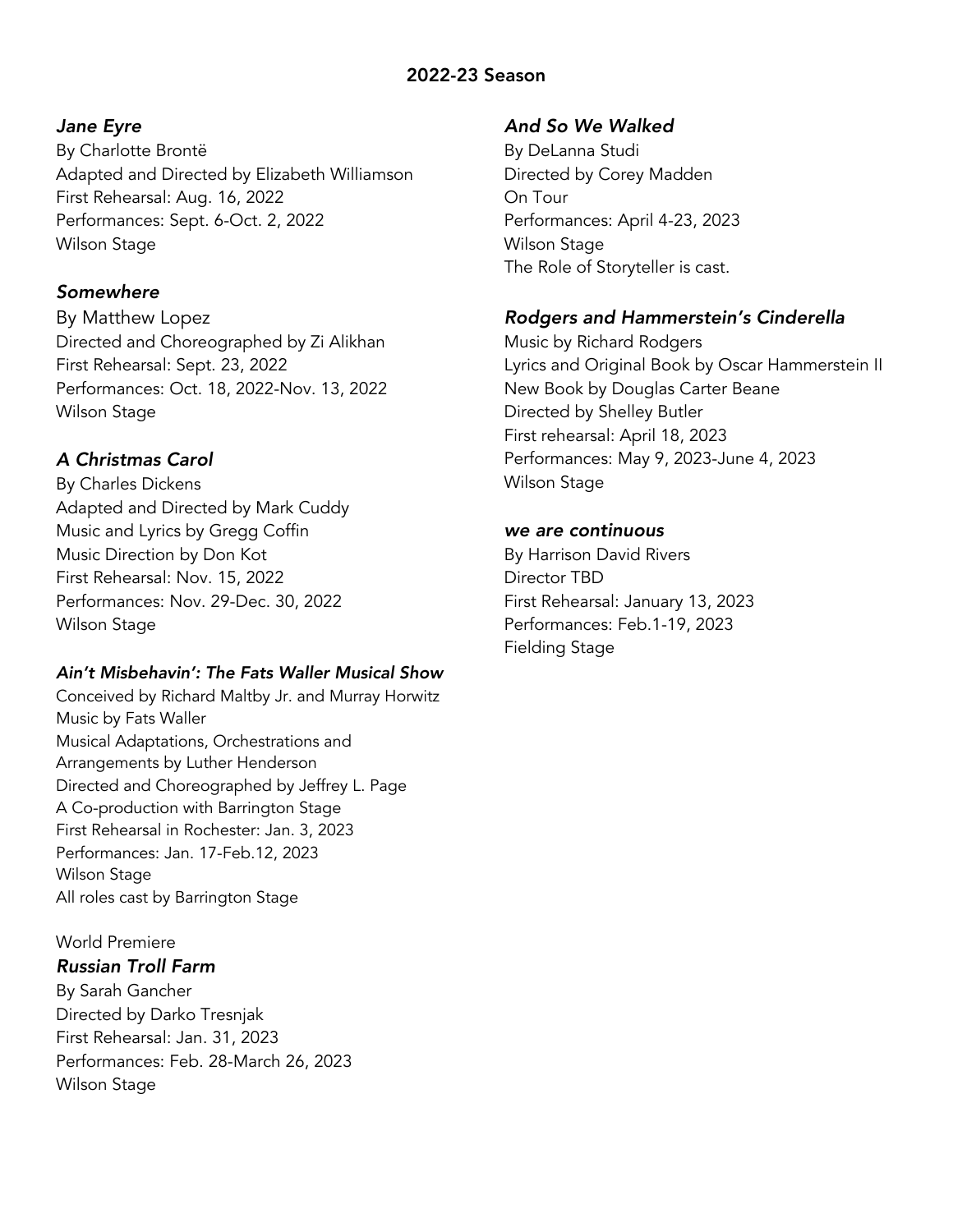## 2022-23 Season

#### *Jane Eyre*

By Charlotte Brontë Adapted and Directed by Elizabeth Williamson First Rehearsal: Aug. 16, 2022 Performances: Sept. 6-Oct. 2, 2022 Wilson Stage

#### *Somewhere*

By Matthew Lopez Directed and Choreographed by Zi Alikhan First Rehearsal: Sept. 23, 2022 Performances: Oct. 18, 2022-Nov. 13, 2022 Wilson Stage

### *A Christmas Carol*

By Charles Dickens Adapted and Directed by Mark Cuddy Music and Lyrics by Gregg Coffin Music Direction by Don Kot First Rehearsal: Nov. 15, 2022 Performances: Nov. 29-Dec. 30, 2022 Wilson Stage

#### *Ain't Misbehavin': The Fats Waller Musical Show*

Conceived by Richard Maltby Jr. and Murray Horwitz Music by Fats Waller Musical Adaptations, Orchestrations and Arrangements by Luther Henderson Directed and Choreographed by Jeffrey L. Page A Co-production with Barrington Stage First Rehearsal in Rochester: Jan. 3, 2023 Performances: Jan. 17-Feb.12, 2023 Wilson Stage All roles cast by Barrington Stage

#### World Premiere

#### *Russian Troll Farm*

By Sarah Gancher Directed by Darko Tresnjak First Rehearsal: Jan. 31, 2023 Performances: Feb. 28-March 26, 2023 Wilson Stage

#### *And So We Walked*

By DeLanna Studi Directed by Corey Madden On Tour Performances: April 4-23, 2023 Wilson Stage The Role of Storyteller is cast.

#### *Rodgers and Hammerstein's Cinderella*

Music by Richard Rodgers Lyrics and Original Book by Oscar Hammerstein II New Book by Douglas Carter Beane Directed by Shelley Butler First rehearsal: April 18, 2023 Performances: May 9, 2023-June 4, 2023 Wilson Stage

#### *we are continuous*

By Harrison David Rivers Director TBD First Rehearsal: January 13, 2023 Performances: Feb.1-19, 2023 Fielding Stage